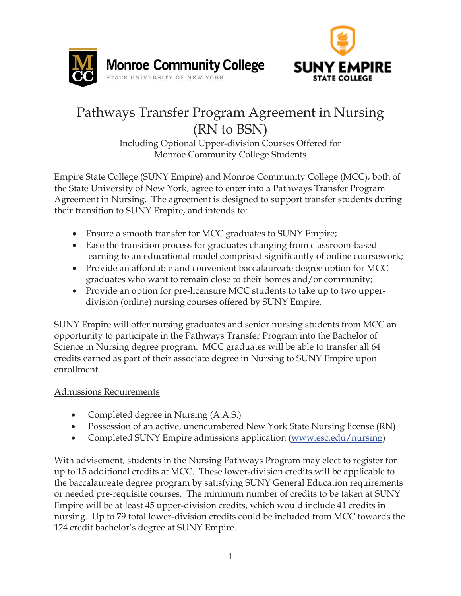



# Pathways Transfer Program Agreement in Nursing (RN to BSN)

Including Optional Upper-division Courses Offered for Monroe Community College Students

Empire State College (SUNY Empire) and Monroe Community College (MCC), both of the State University of New York, agree to enter into a Pathways Transfer Program Agreement in Nursing. The agreement is designed to support transfer students during their transition to SUNY Empire, and intends to:

- Ensure a smooth transfer for MCC graduates to SUNY Empire;
- Ease the transition process for graduates changing from classroom-based learning to an educational model comprised significantly of online coursework;
- Provide an affordable and convenient baccalaureate degree option for MCC graduates who want to remain close to their homes and/or community;
- Provide an option for pre-licensure MCC students to take up to two upperdivision (online) nursing courses offered by SUNY Empire.

SUNY Empire will offer nursing graduates and senior nursing students from MCC an opportunity to participate in the Pathways Transfer Program into the Bachelor of Science in Nursing degree program. MCC graduates will be able to transfer all 64 credits earned as part of their associate degree in Nursing to SUNY Empire upon enrollment.

# Admissions Requirements

- x Completed degree in Nursing (A.A.S.)
- Possession of an active, unencumbered New York State Nursing license (RN)
- Completed SUNY Empire admissions application (www.esc.edu/nursing)

With advisement, students in the Nursing Pathways Program may elect to register for up to 15 additional credits at MCC. These lower-division credits will be applicable to the baccalaureate degree program by satisfying SUNY General Education requirements or needed pre-requisite courses. The minimum number of credits to be taken at SUNY Empire will be at least 45 upper-division credits, which would include 41 credits in nursing. Up to 79 total lower-division credits could be included from MCC towards the 124 credit bachelor's degree at SUNY Empire.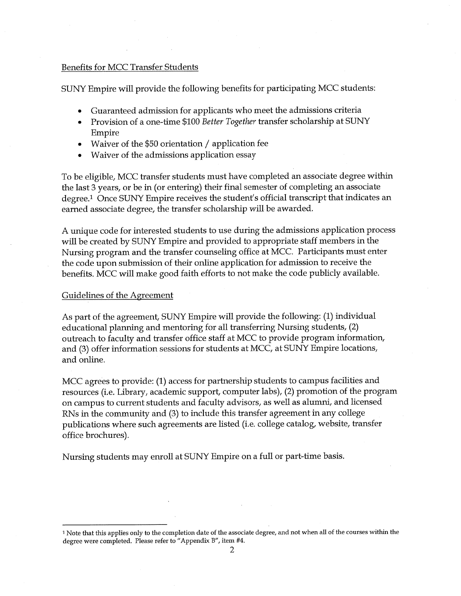#### **Benefits for MCC Transfer Students**

SUNY Empire will provide the following benefits for participating MCC students:

- Guaranteed admission for applicants who meet the admissions criteria
- Provision of a one-time \$100 Better Together transfer scholarship at SUNY  $\bullet$ Empire
- Waiver of the \$50 orientation / application fee
- Waiver of the admissions application essay

To be eligible, MCC transfer students must have completed an associate degree within the last 3 years, or be in (or entering) their final semester of completing an associate degree.<sup>1</sup> Once SUNY Empire receives the student's official transcript that indicates an earned associate degree, the transfer scholarship will be awarded.

A unique code for interested students to use during the admissions application process will be created by SUNY Empire and provided to appropriate staff members in the Nursing program and the transfer counseling office at MCC. Participants must enter the code upon submission of their online application for admission to receive the benefits. MCC will make good faith efforts to not make the code publicly available.

#### Guidelines of the Agreement

As part of the agreement, SUNY Empire will provide the following: (1) individual educational planning and mentoring for all transferring Nursing students, (2) outreach to faculty and transfer office staff at MCC to provide program information, and (3) offer information sessions for students at MCC, at SUNY Empire locations, and online.

MCC agrees to provide: (1) access for partnership students to campus facilities and resources (i.e. Library, academic support, computer labs), (2) promotion of the program on campus to current students and faculty advisors, as well as alumni, and licensed RNs in the community and (3) to include this transfer agreement in any college publications where such agreements are listed (i.e. college catalog, website, transfer office brochures).

Nursing students may enroll at SUNY Empire on a full or part-time basis.

<sup>&</sup>lt;sup>1</sup> Note that this applies only to the completion date of the associate degree, and not when all of the courses within the degree were completed. Please refer to "Appendix B", item #4.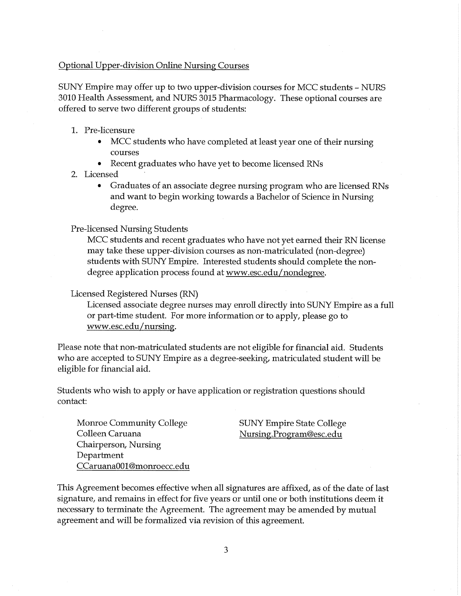#### **Optional Upper-division Online Nursing Courses**

SUNY Empire may offer up to two upper-division courses for MCC students – NURS 3010 Health Assessment, and NURS 3015 Pharmacology. These optional courses are offered to serve two different groups of students:

- 1. Pre-licensure
	- MCC students who have completed at least year one of their nursing  $\bullet$ courses
	- Recent graduates who have yet to become licensed RNs  $\bullet$
- 2. Licensed
	- $\bullet$ Graduates of an associate degree nursing program who are licensed RNs and want to begin working towards a Bachelor of Science in Nursing degree.

#### **Pre-licensed Nursing Students**

MCC students and recent graduates who have not yet earned their RN license may take these upper-division courses as non-matriculated (non-degree) students with SUNY Empire. Interested students should complete the nondegree application process found at www.esc.edu/nondegree.

#### Licensed Registered Nurses (RN)

Licensed associate degree nurses may enroll directly into SUNY Empire as a full or part-time student. For more information or to apply, please go to www.esc.edu/nursing.

Please note that non-matriculated students are not eligible for financial aid. Students who are accepted to SUNY Empire as a degree-seeking, matriculated student will be eligible for financial aid.

Students who wish to apply or have application or registration questions should contact:

**Monroe Community College** Colleen Caruana Chairperson, Nursing Department CCaruana001@monroecc.edu **SUNY Empire State College** Nursing.Program@esc.edu

This Agreement becomes effective when all signatures are affixed, as of the date of last signature, and remains in effect for five years or until one or both institutions deem it necessary to terminate the Agreement. The agreement may be amended by mutual agreement and will be formalized via revision of this agreement.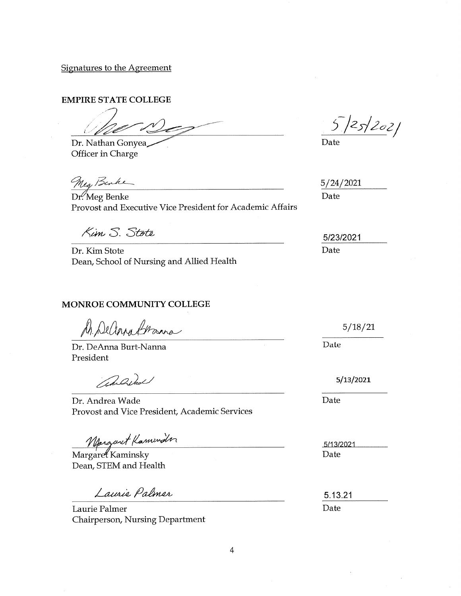Signatures to the Agreement

**EMPIRE STATE COLLEGE** 

Dr. Nathan Gonyea

Officer in Charge

Meg Benke

Dr. Meg Benke Provost and Executive Vice President for Academic Affairs

Kim S. Stote

Dr. Kim Stote Dean, School of Nursing and Allied Health

### **MONROE COMMUNITY COLLEGE**

M. Deana Grana

Dr. DeAnna Burt-Nanna President

anderd

Dr. Andrea Wade Provost and Vice President, Academic Services

Margaret Kaminder

Dean, STEM and Health

Laurie Palmer

Laurie Palmer Chairperson, Nursing Department

 $5|25|202|$ 

Date

 $5/24/2021$ Date

5/23/2021 Date

 $5/18/21$ 

Date

5/13/2021

Date

5/13/2021 Date

5.13.21 Date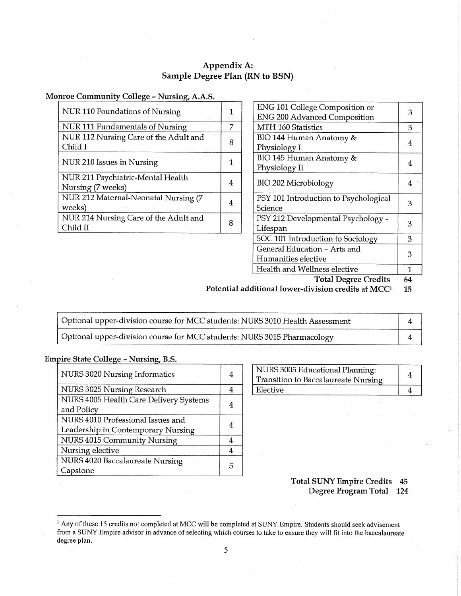# Appendix A: Sample Degree Plan (RN to BSN)

## Monroe Community College - Nursing, A.A.S.

| NUR 110 Foundations of Nursing                         | 1 |
|--------------------------------------------------------|---|
| NUR 111 Fundamentals of Nursing                        | 7 |
| NUR 112 Nursing Care of the Adult and<br>Child I       | 8 |
| NUR 210 Issues in Nursing                              |   |
| NUR 211 Psychiatric-Mental Health<br>Nursing (7 weeks) |   |
| NUR 212 Maternal-Neonatal Nursing (7<br>weeks)         |   |
| NUR 214 Nursing Care of the Adult and<br>Child II      |   |

| ENG 101 College Composition or        | З  |
|---------------------------------------|----|
| <b>ENG 200 Advanced Composition</b>   |    |
| MTH 160 Statistics                    | З  |
| BIO 144 Human Anatomy &               |    |
| Physiology I                          | 4  |
| BIO 145 Human Anatomy &               |    |
| Physiology II                         | 4  |
| BIO 202 Microbiology                  | 4  |
|                                       |    |
| PSY 101 Introduction to Psychological | 3  |
| Science                               |    |
| PSY 212 Developmental Psychology -    | З  |
| Lifespan                              |    |
| SOC 101 Introduction to Sociology     | 3  |
| General Education - Arts and          | 3  |
| Humanities elective                   |    |
| Health and Wellness elective          | 1  |
| Total Degree Credita                  | GЛ |

**Total Degree Credits** 04

Potential additional lower-division credits at MCC<sup>1</sup> 15

| Optional upper-division course for MCC students: NURS 3010 Health Assessment |  |
|------------------------------------------------------------------------------|--|
| Optional upper-division course for MCC students: NURS 3015 Pharmacology      |  |

#### **Empire State College - Nursing, B.S.**

| NURS 3020 Nursing Informatics          | 4 |
|----------------------------------------|---|
| NURS 3025 Nursing Research             |   |
| NURS 4005 Health Care Delivery Systems | 4 |
| and Policy                             |   |
| NURS 4010 Professional Issues and      |   |
| Leadership in Contemporary Nursing     |   |
| NURS 4015 Community Nursing            |   |
| Nursing elective                       | 4 |
| NURS 4020 Baccalaureate Nursing        | 5 |
| Capstone                               |   |

| NURS 3005 Educational Planning:     |  |
|-------------------------------------|--|
| Transition to Baccalaureate Nursing |  |
| Elective                            |  |

**Total SUNY Empire Credits 45** Degree Program Total 124

<sup>&</sup>lt;sup>1</sup> Any of these 15 credits not completed at MCC will be completed at SUNY Empire. Students should seek advisement from a SUNY Empire advisor in advance of selecting which courses to take to ensure they will fit into the baccalaureate degree plan.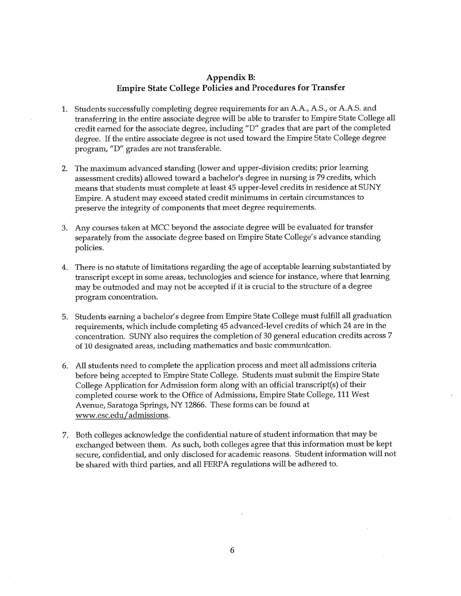### Appendix B: **Empire State College Policies and Procedures for Transfer**

- 1. Students successfully completing degree requirements for an A.A., A.S., or A.A.S. and transferring in the entire associate degree will be able to transfer to Empire State College all credit earned for the associate degree, including "D" grades that are part of the completed degree. If the entire associate degree is not used toward the Empire State College degree program, "D" grades are not transferable.
- 2. The maximum advanced standing (lower and upper-division credits; prior learning assessment credits) allowed toward a bachelor's degree in nursing is 79 credits, which means that students must complete at least 45 upper-level credits in residence at SUNY Empire. A student may exceed stated credit minimums in certain circumstances to preserve the integrity of components that meet degree requirements.
- 3. Any courses taken at MCC beyond the associate degree will be evaluated for transfer separately from the associate degree based on Empire State College's advance standing policies.
- 4. There is no statute of limitations regarding the age of acceptable learning substantiated by transcript except in some areas, technologies and science for instance, where that learning may be outmoded and may not be accepted if it is crucial to the structure of a degree program concentration.
- 5. Students earning a bachelor's degree from Empire State College must fulfill all graduation requirements, which include completing 45 advanced-level credits of which 24 are in the concentration. SUNY also requires the completion of 30 general education credits across 7 of 10 designated areas, including mathematics and basic communication.
- 6. All students need to complete the application process and meet all admissions criteria before being accepted to Empire State College. Students must submit the Empire State College Application for Admission form along with an official transcript(s) of their completed course work to the Office of Admissions, Empire State College, 111 West Avenue, Saratoga Springs, NY 12866. These forms can be found at www.esc.edu/admissions.
- 7. Both colleges acknowledge the confidential nature of student information that may be exchanged between them. As such, both colleges agree that this information must be kept secure, confidential, and only disclosed for academic reasons. Student information will not be shared with third parties, and all FERPA regulations will be adhered to.